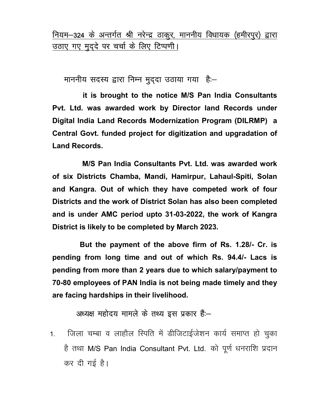नियम-324 के अन्तर्गत श्री नरेन्द्र ठाकुर, माननीय विधायक (हमीरपुर) द्वारा उठाए गए मुद्दे पर चर्चा के लिए टिप्पणी।

माननीय सदस्य द्वारा निम्न मुद्दा उठाया गया है:-

 it is brought to the notice M/S Pan India Consultants Pvt. Ltd. was awarded work by Director land Records under Digital India Land Records Modernization Program (DILRMP) a Central Govt. funded project for digitization and upgradation of Land Records.

 M/S Pan India Consultants Pvt. Ltd. was awarded work of six Districts Chamba, Mandi, Hamirpur, Lahaul-Spiti, Solan and Kangra. Out of which they have competed work of four Districts and the work of District Solan has also been completed and is under AMC period upto 31-03-2022, the work of Kangra District is likely to be completed by March 2023.

 But the payment of the above firm of Rs. 1.28/- Cr. is pending from long time and out of which Rs. 94.4/- Lacs is pending from more than 2 years due to which salary/payment to 70-80 employees of PAN India is not being made timely and they are facing hardships in their livelihood.

अध्यक्ष महोदय मामले के तथ्य इस प्रकार हैं:-

1. जिला चम्बा व लाहौल स्पिति में डीजिटाईजेशन कार्य समाप्त हो चुका है तथा M/S Pan India Consultant Pvt. Ltd. को पूर्ण धनराशि प्रदान कर दी गई है।